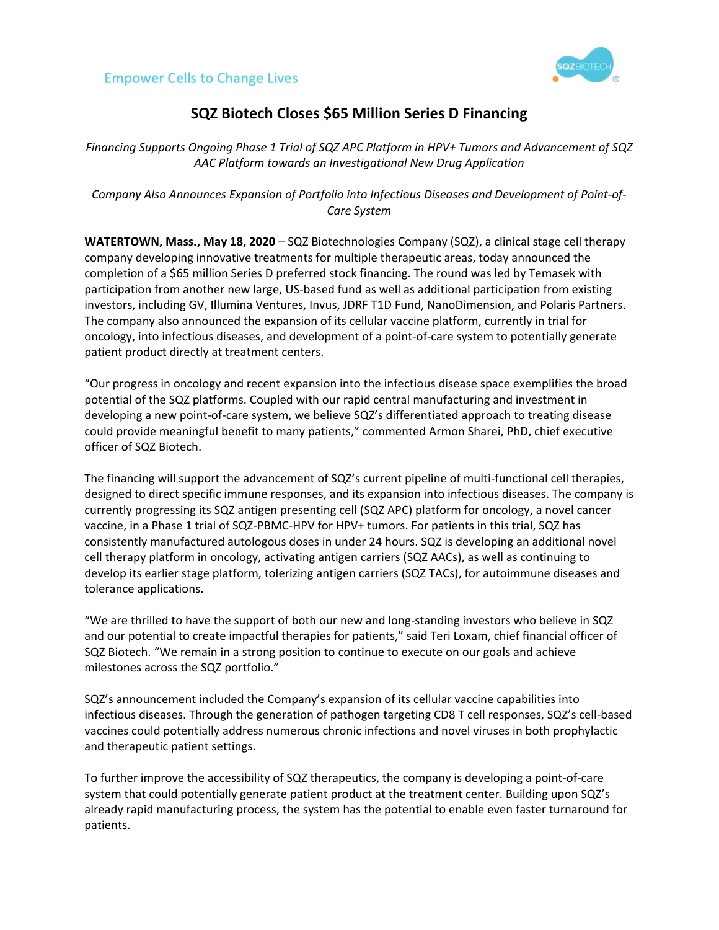



## **SQZ Biotech Closes \$65 Million Series D Financing**

*Financing Supports Ongoing Phase 1 Trial of SQZ APC Platform in HPV+ Tumors and Advancement of SQZ AAC Platform towards an Investigational New Drug Application*

*Company Also Announces Expansion of Portfolio into Infectious Diseases and Development of Point-of-Care System*

**WATERTOWN, Mass., May 18, 2020** – SQZ Biotechnologies Company (SQZ), a clinical stage cell therapy company developing innovative treatments for multiple therapeutic areas, today announced the completion of a \$65 million Series D preferred stock financing. The round was led by Temasek with participation from another new large, US-based fund as well as additional participation from existing investors, including GV, Illumina Ventures, Invus, JDRF T1D Fund, NanoDimension, and Polaris Partners. The company also announced the expansion of its cellular vaccine platform, currently in trial for oncology, into infectious diseases, and development of a point-of-care system to potentially generate patient product directly at treatment centers.

"Our progress in oncology and recent expansion into the infectious disease space exemplifies the broad potential of the SQZ platforms. Coupled with our rapid central manufacturing and investment in developing a new point-of-care system, we believe SQZ's differentiated approach to treating disease could provide meaningful benefit to many patients," commented Armon Sharei, PhD, chief executive officer of SQZ Biotech.

The financing will support the advancement of SQZ's current pipeline of multi-functional cell therapies, designed to direct specific immune responses, and its expansion into infectious diseases. The company is currently progressing its SQZ antigen presenting cell (SQZ APC) platform for oncology, a novel cancer vaccine, in a Phase 1 trial of SQZ-PBMC-HPV for HPV+ tumors. For patients in this trial, SQZ has consistently manufactured autologous doses in under 24 hours. SQZ is developing an additional novel cell therapy platform in oncology, activating antigen carriers (SQZ AACs), as well as continuing to develop its earlier stage platform, tolerizing antigen carriers (SQZ TACs), for autoimmune diseases and tolerance applications.

"We are thrilled to have the support of both our new and long-standing investors who believe in SQZ and our potential to create impactful therapies for patients," said Teri Loxam, chief financial officer of SQZ Biotech. "We remain in a strong position to continue to execute on our goals and achieve milestones across the SQZ portfolio."

SQZ's announcement included the Company's expansion of its cellular vaccine capabilities into infectious diseases. Through the generation of pathogen targeting CD8 T cell responses, SQZ's cell-based vaccines could potentially address numerous chronic infections and novel viruses in both prophylactic and therapeutic patient settings.

To further improve the accessibility of SQZ therapeutics, the company is developing a point-of-care system that could potentially generate patient product at the treatment center. Building upon SQZ's already rapid manufacturing process, the system has the potential to enable even faster turnaround for patients.